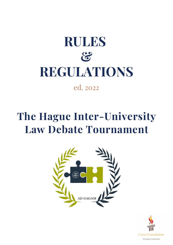# **RULES & REGULATIONS**

## ed. 2022

## **The Hague Inter-University Law Debate Tournament**



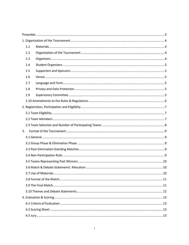|    | 1.1 |  |  |  |  |  |  |
|----|-----|--|--|--|--|--|--|
|    | 1.2 |  |  |  |  |  |  |
|    | 1.3 |  |  |  |  |  |  |
|    | 1.4 |  |  |  |  |  |  |
|    | 1.5 |  |  |  |  |  |  |
|    | 1.6 |  |  |  |  |  |  |
|    | 1.7 |  |  |  |  |  |  |
|    | 1.8 |  |  |  |  |  |  |
|    | 1.9 |  |  |  |  |  |  |
|    |     |  |  |  |  |  |  |
|    |     |  |  |  |  |  |  |
|    |     |  |  |  |  |  |  |
|    |     |  |  |  |  |  |  |
|    |     |  |  |  |  |  |  |
| 3. |     |  |  |  |  |  |  |
|    |     |  |  |  |  |  |  |
|    |     |  |  |  |  |  |  |
|    |     |  |  |  |  |  |  |
|    |     |  |  |  |  |  |  |
|    |     |  |  |  |  |  |  |
|    |     |  |  |  |  |  |  |
|    |     |  |  |  |  |  |  |
|    |     |  |  |  |  |  |  |
|    |     |  |  |  |  |  |  |
|    |     |  |  |  |  |  |  |
|    |     |  |  |  |  |  |  |
|    |     |  |  |  |  |  |  |
|    |     |  |  |  |  |  |  |
|    |     |  |  |  |  |  |  |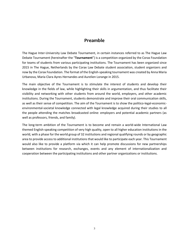### **Preamble**

<span id="page-3-0"></span>The Hague Inter-University Law Debate Tournament, in certain instances referred to as The Hague Law Debate Tournament (hereinafter the "**Tournament**") is a competition organized by the Corax Foundation for teams of students from various participating institutions. The Tournament has been organized since 2015 in The Hague, Netherlands by the Corax Law Debate student association, student organizers and now by the Corax Foundation. The format of the English-speaking tournament was created by Anna Maria Urbanova, Maria Clara Ayres Hernandes and Aurelien Lorange in 2015.

The main objective of the Tournament is to stimulate the interest of students and develop their knowledge in the fields of law, while highlighting their skills in argumentation, and thus facilitate their visibility and networking with other students from around the world, employers, and other academic institutions. During the Tournament, students demonstrate and improve their oral communication skills, as well as their sense of competition. The aim of the Tournament is to show the politico-legal-economicenvironmental-societal knowledge connected with legal knowledge acquired during their studies to all the people attending the matches broadcasted online: employers and potential academic partners (as well as professors, friends, and family).

The long-term ambition of the Tournament is to become and remain a world-wide International Law themed English-speaking competition of very high quality, open to all higher education institutions in the world, with a phase for the world group of 32 institutions and regional qualifying rounds or by geographic area to provide access to additional institutions that would like to participate each year. This Tournament would also like to provide a platform via which it can help promote discussions for new partnerships between institutions for research, exchanges, events and any element of internationalization and cooperation between the participating institutions and other partner organizations or institutions.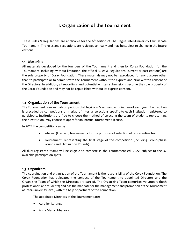## **1. Organization of the Tournament**

<span id="page-4-0"></span>These Rules & Regulations are applicable for the  $6<sup>th</sup>$  edition of The Hague Inter-University Law Debate Tournament. The rules and regulations are reviewed annually and may be subject to change in the future editions.

#### <span id="page-4-1"></span>**1.1 Materials**

All materials developed by the founders of the Tournament and then by Corax Foundation for the Tournament, including, without limitation, the official Rules & Regulations (current or past editions) are the sole property of Corax Foundation. These materials may not be reproduced for any purpose other than to participate or to administrate the Tournament without the express and prior written consent of the Directors. In addition, all recordings and potential written submissions become the sole property of the Corax Foundation and may not be republished without its express consent.

#### <span id="page-4-2"></span>**1.2 Organization of the Tournament**

The Tournament is an annual competition that begins in March and ends in June of each year. Each edition is preceded by competitions or myriad of internal selections specific to each institution registered to participate. Institutions are free to choose the method of selecting the team of students representing their institution. may choose to apply for an internal tournament license.

In 2022 the competition can be:

- internal (licensed) tournaments for the purposes of selection of representing team
- Tournament, representing the final stage of the competition (including Group-phase Rounds and Elimination Rounds).

All duly registered teams will be eligible to compete in the Tournament ed. 2022, subject to the 32 available participation spots.

#### <span id="page-4-3"></span>**1.3 Organizers**

The coordination and organization of the Tournament is the responsibility of the Corax Foundation. The Corax Foundation has delegated the conduct of the Tournament to appointed Directors and the Organizing Team of which the Directors are part of. The Organizing Team comprises volunteers (both professionals and students) and has the mandate for the management and promotion of the Tournament at inter-university level, with the help of partners of the Foundation.

The appointed Directors of the Tournament are:

- Aurelien Lorange
- Anna Maria Urbanova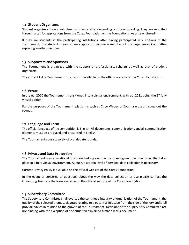#### <span id="page-5-0"></span>**1.4 Student Organizers**

Student organizers have a volunteer or intern status, depending on the onboarding. They are recruited through a call for applications from the Corax Foundation on the Foundation's website or LinkedIn.

If they are students in the participating institutions, after having participated in 2 editions of the Tournament, the student organizer may apply to become a member of the Supervisory Committee replacing another member.

#### <span id="page-5-1"></span>**1.5 Supporters and Sponsors**

The Tournament is organized with the support of professionals, scholars as well as that of student organizers.

The current list of Tournament's sponsors is available on the official website of the Corax Foundation.

#### <span id="page-5-2"></span>**1.6 Venue**

In the ed. 2020 the Tournament transitioned into a virtual environment, with ed. 2021 being the 1st fully virtual edition.

For the purposes of the Tournament, platforms such as Cisco Webex or Zoom are used throughout the rounds.

#### <span id="page-5-3"></span>**1.7 Language and Form**

The official language of the competition is English. All documents, communications and all communication elements must be produced and presented in English.

The Tournament consists solely of oral debate rounds.

#### <span id="page-5-4"></span>**1.8 Privacy and Data Protection**

The Tournament is an educational four-months-long event, encompassing multiple time zones, that takes place in a fully virtual environment. As such, a certain level of personal data collection is necessary.

Current Privacy Policy is available on the official website of the Corax Foundation.

In the event of concerns or questions about the way the data collection or use please contact the Organizing Team via the form available on the official website of the Corax Foundation.

#### <span id="page-5-5"></span>**1.9 Supervisory Committee**

The Supervisory Committee shall oversee the continued integrity of organization of the Tournament, the quality of the selected themes, disputes relating to a potential injustice from the side of the jury and shall provide advice in relation to the growth of the Tournament. Decisions of the Supervisory Committee are nonbinding with the exception of one situation explained further in this document.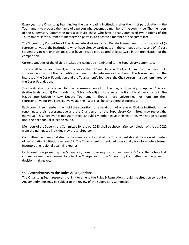Every year, the Organizing Team invites the participating institutions after their first participation in the Tournament to propose the name of a person who becomes a member of the committee. The members of the Supervisory Committee may also invite those who have already organized two editions of the Tournament, if the number of members so permits, to become a member of the committee.

The Supervisory Committee of The Hague Inter-University Law Debate Tournament is thus made up of (i) representatives of the institutions which have already participated in the competition once and of (ii) past student organizers or individuals that have already participated at least twice in the organization of the competition.

Current students of the eligible institutions cannot be nominated to the Supervisory Committee.

There shall be no less than 3, and no more than 12 members in 2023, including the Chairperson. As sustainable growth of the competition and uniformity between each edition of the Tournament is in the interest of the Corax Foundation and the Tournament's founders, the Chairperson must be nominated by the Corax Foundation.

Two seats shall be reserved for the representatives of (i) The Hague University of Applied Sciences (Netherlands) and (ii) Dom Helder Law School (Brazil) as those were the first official participants in The Hague Inter-University Law Debate Tournament. Should these universities not nominate their representative for two consecutive years, their seat shall be considered as forfeited.

Each committee member may hold their position for a maximum of one year. Eligible institutions may renominate their representative and the Chairperson of the Supervisory Committee may reelect the individual. This, however, is not guaranteed. Should a member leave their seat, they will not be replaced until the next annual selection round.

Members of the Supervisory Committee for the ed. 2023 shall be chosen after completion of the ed. 2022 from the nominated individuals by the Chairperson.

Committee members shall discuss the agenda and format of the Tournament should the allowed number of participating institutions exceed 32. The Tournament is predicted to gradually transform into a format incorporating regional qualifying rounds.

Each resolution passed by the Supervisory Committee requires a minimum of 60% of the votes of all committee members present to vote. The Chairperson of the Supervisory Committee has the power of decision-making veto.

#### <span id="page-6-0"></span>**1.10 Amendments to the Rules & Regulations**

The Organizing Team reserves the right to amend the Rules & Regulation should the situation so require. Any amendments may be subject to the review of the Supervisory Committee.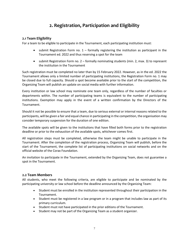## **2. Registration, Participation and Eligibility**

#### <span id="page-7-1"></span><span id="page-7-0"></span>**2.1 Team Eligibility**

For a team to be eligible to participate in the Tournament, each participating institution must:

- submit Registration Form no. 1 formally registering the institution as participant in the Tournament ed. 2022 and thus reserving a spot for the team
- submit Registration Form no. 2 formally nominating students (min. 2, max. 3) to represent the institution in the Tournament

Such registration must be completed no later than by 15 February 2022. However, as in the ed. 2022 the Tournament allows only a limited number of participating institutions, the Registration Form no. 1 may be closed due to full capacity. Should a spot become available prior to the start of the competition, the Organizing Team will publish an update on social media with further information.

Every institution or law school may nominate one team only, regardless of the number of faculties or departments within. The number of participating teams is equivalent to the number of participating institutions. Exemption may apply in the event of a written confirmation by the Directors of the Tournament.

Should it not be possible to ensure that a team, due to serious external or internal reasons related to the participants, will be given a fair and equal chance in participating in the competition, the organisation may consider temporary suspension for the duration of one edition.

The available spots will be given to the institutions that have filled both forms prior to the registration deadline or prior to the exhaustion of the available spots, whichever comes first.

All registration steps must be completed, otherwise the team might be unable to participate in the Tournament. After the completion of the registration process, Organizing Team will publish, before the start of the Tournament, the complete list of participating institutions on social networks and on the official website of the Corax Foundation.

An invitation to participate in the Tournament, extended by the Organizing Team, does not guarantee a spot in the Tournament.

#### <span id="page-7-2"></span>**2.2 Team Members**

All students, who meet the following criteria, are eligible to participate and be nominated by the participating university or law school before the deadline announced by the Organizing Team:

- Student must be enrolled in the institution represented throughout their participation in the Tournament.
- Student must be registered in a law program or in a program that includes law as part of its primary curriculum.
- Student must not have participated in the prior editions of the Tournament.
- Student may not be part of the Organizing Team as a student organizer.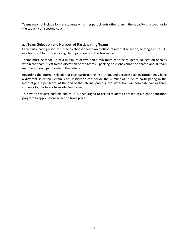Teams may not include former students or former participants other than in the capacity of a coach or in the capacity of a second coach.

#### <span id="page-8-0"></span>**2.3 Team Selection and Number of Participating Teams**

Each participating institute is free to choose their own method of internal selection, so long as it results in a team of 2 to 3 students eligible to participate in the Tournament.

Teams must be made up of a minimum of two and a maximum of three students. Delegation of roles within the team is left to the discretion of the teams. Speaking positions cannot be shared and all team members should participate in the debate.

Regarding the internal selection of each participating institution, and because each institution may have a different selection system, each institution can decide the number of students participating in the internal phase per team. At the end of the internal process, the institution will nominate two or three students for the Inter-University Tournament.

To have the widest possible choice, it is encouraged to ask all students enrolled in a higher education program to apply before selection takes place.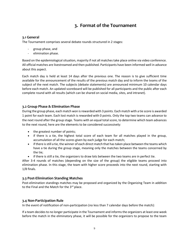## **3. Format of the Tournament**

#### <span id="page-9-1"></span><span id="page-9-0"></span>**3.1 General**

The Tournament comprises several debate rounds structured in 2 stages:

- group phase, and
- elimination phase.

Based on the epidemiological situation, majority if not all matches take place online via video conference. All official matches are livestreamed and then published. Participants have been informed well in advance about this aspect.

Each match day is held at least 14 days after the previous one. The reason is to give sufficient time available for the announcement of the results of the previous match day and to inform the teams of the subject of the next match. The subjects (debate statements) are announced minimum 10 calendar days before each match. An updated scoreboard will be published for all participants and the public after each complete round with all results (which can be shared on social media, sites, and intranet).

#### <span id="page-9-2"></span>**3.2 Group Phase & Elimination Phase**

During the group phase, each match won is rewarded with 3 points. Each match with a tie score is awarded 1 point for each team. Each lost match is rewarded with 0 points. Only the top two teams can advance to the next round after the group stage. Teams with an equal total score, to determine which team advances to the next round, here are the elements to be considered successively:

- the greatest number of points;
- if there is a tie, the highest total score of each team for all matches played in the group, accumulation of all the scores given by each judge for each match;
- if there is still a tie, the winner of each direct match that has taken place between the teams which have a tie during the group stage, meaning only the matches between the teams concerned by the tie;
- if there is still a tie, the organizers to draw lots between the two teams are in perfect tie.

After 3-4 rounds of matches (depending on the size of the group) the eligible teams proceed into elimination phase. In this stage, the team with higher score proceeds into the next round, starting with 1/8 finals.

#### <span id="page-9-3"></span>**3.3 Post-Elimination Standing Matches**

Post-elimination standings matches may be proposed and organized by the Organizing Team in addition to the Final and the Match for the 3<sup>rd</sup> place.

#### <span id="page-9-4"></span>**3.4 Non-Participation Rule**

In the event of notification of non-participation (no less than 7 calendar days before the match):

If a team decides to no longer participate in the Tournament and informs the organizers at least one week before the match in the eliminatory phase, it will be possible for the organizers to propose to the team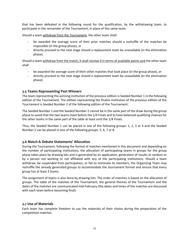that has been defeated in the following round for the qualification, by the withdrawing team, to participate in the remainder of the Tournament, in place of this same team.

Should a team withdraw from the Tournament, the other team shall:

- be awarded the average score of their prior matches should a reshuffle of the matches be impossible (in the group phase), or
- directly proceed to the next stage should a replacement team be unavailable (in the elimination phase).

Should a team withdraw from the match, it shall receive 0 in terms of available points and the other team shall:

- be awarded the average score of their other matches that took place (in the group phase), or
- directly proceed to the next stage should a replacement team be unavailable (in the elimination phase).

#### <span id="page-10-0"></span>**3.5 Teams Representing Past Winners**

The team representing the winning institution of the previous edition is Seeded Number 1 in the following edition of the Tournament. The edition representing the finalist institution of the previous edition of the Tournament is Seeded Number 2 of the following edition of the Tournament.

The Seeded Number 1 and the Seeded Number 2 cannot be in the same part of the draw during the group phase to avoid that the two teams meet before the 1/4 Finals and to have balanced qualifying chances for the other teams in the same part of the table at least until the 1/4 Finals.

Thus, the Seeded Number 1 can be placed in one of the following groups: 1, 2, 3 or 4 and the Seeded Number 2 can be placed in one of the following groups: 5, 6, 7 or 8.

#### <span id="page-10-1"></span>**3.6 Match & Debate Statements' Allocation**

During the Tournament, following the format of matches mentioned in this document and depending on the number of participating institutions, the allocation of participating teams in groups for the group phase takes place by drawing lots and is generated by an application, generation of results at random or by a person not working or not affiliated with any of the participating institutions. Should a team withdraw, be suspended from participation, or fail to nominate its members, the Organizing Team may reshuffle the already generated groups to accommodate the tournament format and ensure that every group has at least 3 teams.

The assignment of topics is also done by drawing lots. The order of matches is based on the allocation of groups. The table of the matches of the Tournament, the general themes of the Tournament and the dates of the matches are communicated mid-February (the dates and times of the matches are discussed with each team before becoming final).

#### <span id="page-10-2"></span>**3.7 Use of Materials**

Each team has complete freedom to use the materials of their choice during the preparation of the competition matches.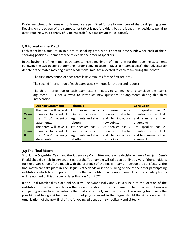During matches, only non-electronic media are permitted for use by members of the participating team. Reading on the screen of the computer or tablet is not forbidden, but the judges may decide to penalize overt reading with a penalty of -5 points each (i.e. a maximum of -15 points).

#### <span id="page-11-0"></span>**3.8 Format of the Match**

Each team has a total of 10 minutes of speaking time, with a specific time window for each of the 4 speaking positions. Teams are free to decide the order of speakers.

In the beginning of the match, each team can use a maximum of 4 minutes for their opening statement. Following the two opening statements (order being: (i) team in favor, (ii) team against), the (adversarial) debate of the match may begin with 6 additional minutes allocated to each team during the debate.

- The first intervention of each team lasts 2 minutes for the first rebuttal.
- The second intervention of each team lasts 2 minutes for the second rebuttal.
- The third intervention of each team lasts 2 minutes to summarize and conclude the team's argument. It is not allowed to introduce new questions or arguments during this third intervention.

|              | <b>Opening Statements</b>                                      | <b>Rebuttals</b>                       |             | <b>Conclusion</b>                                                                                  |
|--------------|----------------------------------------------------------------|----------------------------------------|-------------|----------------------------------------------------------------------------------------------------|
|              |                                                                |                                        |             | The team will have 4 1st speaker has $2 \mid 2^{\omega}$ speaker has 2 3rd speaker has 2           |
| Team         | minutes to conduct   minutes to present   minutes for rebuttal |                                        |             | minutes for rebuttal                                                                               |
| $\mathbf{A}$ | the "pro" opening arguments and start and to introduce         |                                        |             | and summarize the                                                                                  |
|              | statements.                                                    | rebuttal.                              | new points. | arguments.                                                                                         |
|              |                                                                |                                        |             | The team will have 4   1st speaker has $2 \mid 2^{\omega}$ speaker has $2 \mid 3$ rd speaker has 2 |
| Team         | minutes to conduct   minutes to present   minutes for rebuttal |                                        |             | minutes for rebuttal                                                                               |
| B            | the "con"<br>opening                                           | arguments and start   and to introduce |             | and to summarize the                                                                               |
|              | statements.                                                    | rebuttal.                              | new points. | arguments.                                                                                         |

#### <span id="page-11-1"></span>**3.9 The Final Match**

Should the Organizing Team and the Supervisory Committee not reach a decision where a Final (and Semi-Finals) should be held in person, this part of the Tournament will take place online as well. If the conditions for the organization of the match with the presence of the finalist teams in person are satisfactory, the final match can take place in The Hague, Netherlands or in the building of one of the other participating institutions which has a representative on the competition Supervision Committee. Participating teams will be notified of this change no later than on April 2022.

If the Final Match takes place online, it will be symbolically and virtually held at the location of the institution of the team which won the previous edition of the Tournament. The other institutions are competing online to enter virtually the final and virtually win the trophy. The winning team wins the possibility of being a virtual host (on top of physical event in the Hague should the situation allow its organization) of the next final of the following edition, both symbolically and virtually.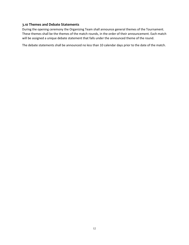#### <span id="page-12-0"></span>**3.10 Themes and Debate Statements**

During the opening ceremony the Organizing Team shall announce general themes of the Tournament. These themes shall be the themes of the match rounds, in the order of their announcement. Each match will be assigned a unique debate statement that falls under the announced theme of the round.

The debate statements shall be announced no less than 10 calendar days prior to the date of the match.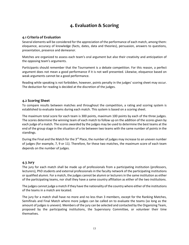## **4. Evaluation & Scoring**

#### <span id="page-13-1"></span><span id="page-13-0"></span>**4.1 Criteria of Evaluation**

Several elements will be considered for the appreciation of the performance of each match, among them: eloquence, accuracy of knowledge (facts, dates, data and theories), persuasion, answers to questions, presentation, presence and demeanor.

Matches are organized to assess each team's oral argument but also their creativity and anticipation of the opposing team's arguments.

Participants should remember that the Tournament is a debate competition. For this reason, a perfect argument does not mean a good performance if it is not well presented. Likewise, eloquence based on weak arguments cannot be a good performance.

Reading while speaking is not forbidden, however, points penalty in the judges' scoring sheet may occur. The deduction for reading is decided at the discretion of the judges.

#### <span id="page-13-2"></span>**4.2 Scoring Sheet**

To compare results between matches and throughout the competition, a rating and scoring system is established to evaluate teams during each match. This system is based on a scoring sheet.

The maximum total score for each team is 300 points, maximum 100 points by each of the three judges. The scores determine the winning team of each match to follow up on the addition of the scores given by each judge of a match. The scores awarded by the judges may be used to determine the best teams at the end of the group stage in the situation of a tie between two teams with the same number of points in the standings.

During the Final and the Match for the  $3^{rd}$  Place, the number of judges may increase to an uneven number of judges (for example, 7, 9 or 11). Therefore, for these two matches, the maximum score of each team depends on the number of judges.

#### <span id="page-13-3"></span>**4.3 Jury**

The jury for each match shall be made up of professionals from a participating institution (professors, lecturers), PhD students and external professionals in the faculty network of the participating institutions or qualified alumni. For a match, the judges cannot be alumni or lecturers in the same institution as either of the participating teams, nor shall they have a same country affiliation as either of the two institutions.

The judges cannot judge a match if they have the nationality of the country where either of the institutions of the teams in a match are located.

The jury for a match shall have no more and no less than 3 members, except for the Ranking Matches, Semifinals and Final Match where more judges can be called on to evaluate the teams (so long as the amount of judges is uneven). Members of the jury can be selected and contacted by the Organizing Team, proposed by the participating institutions, the Supervisory Committee, or volunteer their time themselves.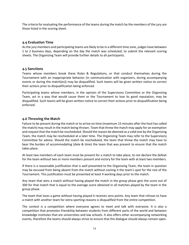The criteria for evaluating the performance of the teams during the match by the members of the jury are those listed in the scoring sheet.

#### <span id="page-14-0"></span>**4.4 Evaluation Time**

As the jury members and participating teams are likely to be in a different time zone, judges have between 1 to 2 business days, depending on the day the match was scheduled, to submit the relevant scoring sheets. The Organizing Team will provide further details to all participants.

#### <span id="page-14-1"></span>**4.5 Sanctions**

Teams whose members break these Rules & Regulations, or that conduct themselves during the Tournament with an inappropriate behavior (in communication with organizers, during accompanying events or during the match(es)) may be disqualified. Such teams will be given written notice to correct their actions prior to disqualification being enforced.

Participating teams whose members, in the opinion of the Supervisory Committee or the Organizing Team, act in a way that would cause them or the Tournament to lose its good reputation, may be disqualified. Such teams will be given written notice to correct their actions prior to disqualification being enforced.

#### <span id="page-14-2"></span>**4.6 Throwing the Match**

Failure to be present during the match or to arrive on time (maximum 15 minutes after the host has called the match) may result in the match being thrown. Team that threw the match may apply for an exemption and request that the match be rescheduled. Should the reason be deemed as a valid one by the Organizing Team, the match may be rescheduled at a later time. The Organizing Team may refer to the Supervisory Committee for advice. Should the match be rescheduled, the team that threw the match may have to bear the burden of accommodating (date & time) the team that was present to ensure that the match takes place.

At least two members of each team must be present for a match to take place, to not declare the defeat for the team without two or more members present and victory for the team with at least two members.

If there is a reasonable justification that is well presented to the Organizing Team, the team in question may be excused from being absent from the match without costing it the team's spot for the rest of the Tournament. This justification must be presented at least 4 working days prior to the match.

Any team that wins a match without having played the match in the group phase gets the score out of 300 for that match that is equal to the average score obtained in all matches played by the team in the group phase.

The team that loses a game without having played it receives zero points. Any team that refuses to have a match with another team for extra sporting reasons is disqualified from the entire competition.

The contest is a competition where everyone agrees to meet and talk with everyone. It is also a competition that promotes friendship between students from different parts of the world and between knowledge institutes that are universities and law schools. It also offers other accompanying networking events, therefore the teams should always strive to ensure that the dialogue should always remain open.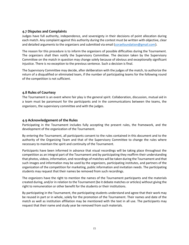#### <span id="page-15-0"></span>**4.7 Disputes and Complaints**

Judges have full authority, independence, and sovereignty in their decisions of point allocation during each match. Any complaint against this authority during the contest must be written with objective, clear and detailed arguments to the organizers and submitted via email [\(coraxfoundation@gmail.com](mailto:coraxfoundation@gmail.com)).

The reason for this procedure is to inform the organizers of possible difficulties during the Tournament. The organizers shall then notify the Supervisory Committee. The decision taken by the Supervisory Committee on the match in question may change solely because of obvious and exceptionally significant injustice. There is no exception to the previous sentence. Such a decision is final.

The Supervisory Committee may decide, after deliberation with the judges of the match, to authorize the return of a disqualified or eliminated team, if the number of participating teams for the following round of the competition is not sufficient.

#### <span id="page-15-1"></span>**4.8 Rules of Courtesy**

The Tournament is an event where fair play is the general spirit. Collaboration, discussion, mutual aid in a team must be paramount for the participants and in the communications between the teams, the organizers, the supervisory committee and with the judges.

#### <span id="page-15-2"></span>**4.9 Acknowledgement of the Rules**

Participating in the Tournament includes fully accepting the present rules, the framework, and the development of the organization of the Tournament.

By entering the Tournament, all participants consent to the rules contained in this document and to the authority of the Organizing Team and that of the Supervisory Committee to change the rules where necessary to maintain the spirit and continuity of the Tournament.

Participants have been informed in advance that visual recordings will be taking place throughout the competition as an integral part of the Tournament and by participating they reaffirm their understanding that photos, videos, information, and recordings of matches will be taken during the Tournament and that such images and information may be used by the organizers, participating institutes, and partners of the organization of the competition for marketing, public information and invitation needs. The participating students may request that their names be removed from such recordings.

The organizers have the right to mention the names of the Tournament participants and the materials created during, and/or in relation to the Tournament (be it debate matches or articles) without giving the right to remuneration or other benefit for the students or their institutions.

By participating in the Tournament, the participating students understand and agree that their work may be reused in part or in whole, solely for the promotion of the Tournament. Their names and date of the match as well as institution affiliation may be mentioned with the text in all use. The participants may request that their name and study year be removed from such materials.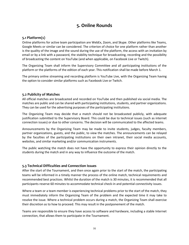## **5. Online Rounds**

#### <span id="page-16-1"></span><span id="page-16-0"></span>**5.1 Platform(s)**

Online platforms for active team participation are WebEx, Zoom, and Skype. Other platforms like Teams, Google Meets or similar can be considered. The criterion of choice for one platform rather than another is the quality of the image and the sound during the use of the platform, the access with an invitation by email or by a link with a password, the stability technique for broadcasting, recording and the possibility of broadcasting the content on YouTube (and when applicable, on Facebook Live or Twitch).

The Organizing Team shall inform the Supervisory Committee and all participating institutions of the platform or the platforms of the edition of each year. This notification shall be made before March 1.

The primary online streaming and recording platform is YouTube Live, with the Organizing Team having the option to consider similar platforms such as Facebook Live or Twitch.

#### <span id="page-16-2"></span>**5.2 Publicity of Matches**

All official matches are broadcasted and recorded on YouTube and then published via social media. The matches are public and can be shared with participating institutions, students, and partner organizations. They can be used for the advertising purposes of the participating institutions.

The Organizing Team may decide that a match should not be broadcasted publicly, with adequate justification submitted to the Supervisory Board. This could be due to technical issues (such as internet connection issues) or due to other concerns. The decision will be communicated to the affected teams.

Announcements by the Organizing Team may be made to invite students, judges, faculty members, partner organizations, guests, and the public, to view the matches. The announcements can be relayed by the faculties of the participating institutions on their own intranet, their social media accounts, websites, and similar marketing and/or communication instruments.

The public watching the match does not have the opportunity to express their opinion directly to the students during the match and in any way to influence the outcome of the match.

#### <span id="page-16-3"></span>**5.3 Technical Difficulties and Connection Issues**

After the start of the Tournament, and then once again prior to the start of the match, the participating teams will be informed in a timely manner the process of the online match, technical requirements and recommended best practices. Whilst the duration of the match is 30 minutes, it is recommended that all participants reserve 60 minutes to accommodate technical check-in and potential connectivity issues.

Where a team or a team member is experiencing technical problems prior to the start of the match, they must immediately inform the Organizing Team of the problem and the expected time it may take to resolve the issue. Where a technical problem occurs during a match, the Organizing Team shall exercise their discretion as to how to proceed. This may result in the postponement of the match.

Teams are responsible to ensure they have access to software and hardware, including a stable Internet connection, that allows them to participate in the Tournament.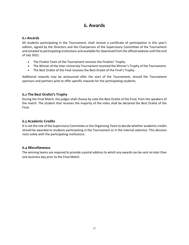## **6. Awards**

#### <span id="page-17-1"></span><span id="page-17-0"></span>**6.1 Awards**

All students participating in the Tournament, shall receive a certificate of participation in this year's edition, signed by the Directors and the Chairperson of the Supervisory Committee of the Tournament and emailed to participating institutions and available for download from the official website until the end of July 2022.

- The Finalist Team of the Tournament receives the Finalists' Trophy.
- The Winner of the Inter-University Tournament received the Winner's Trophy of the Tournament.
- The Best Oralist of the Final receives the Best Oralist of the Final's Trophy.

Additional rewards may be announced after the start of the Tournament, should the Tournament sponsors and partners wish to offer specific rewards for the participating students.

#### <span id="page-17-2"></span>**6.2 The Best Oralist's Trophy**

During the Final Match, the judges shall choose by vote the Best Oralist of the Final, from the speakers of the match. The student that receives the majority of the votes shall be declared the Best Oralist of the Final.

#### <span id="page-17-3"></span>**6.3 Academic Credits**

It is not the role of the Supervisory Committee or the Organizing Team to decide whether academic credits should be awarded to students participating in the Tournament or in the internal selection. This decision rests solely with the participating institutions.

#### <span id="page-17-4"></span>**6.4 Miscellaneous**

The winning teams are required to provide a postal address to which any awards can be sent no later than one business day prior to the Final Match.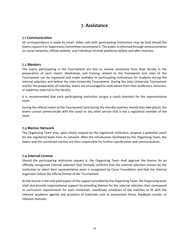## **7. Assistance**

#### <span id="page-18-1"></span><span id="page-18-0"></span>**7.1 Communication**

All correspondence is made by email. Video calls with participating institutions may be held should the teams request it or Supervisory Committee recommend it. The public is informed through announcements on social networks, official website, and individual intranet platforms before and after matches.

#### <span id="page-18-2"></span>**7.2 Mentors**

The teams participating in the Tournament are free to receive assistance from their faculty in the preparation of each match. Workshops and training related to the framework and rules of the Tournament can be organized and made available to participating institutions for students during the internal selection and before the Inter-University Tournament. During the Inter-University Tournament and for the preparation of matches, teams are encouraged to seek advice from their professors, lecturers, or expertise external to the faculty.

It is recommended that each participating institution assigns a coach (mentor) for the representative team.

During the official match of the Tournament (and during the friendly matches should they take place), the teams cannot communicate with the coach or any other person that is not a registered member of the team.

#### <span id="page-18-3"></span>**7.3 Mentor Network**

The Organizing Team may, upon timely request by the registered institution, propose a potential coach for the registered team from its network. After the introduction facilitated by the Organizing Team, the teams and the connected mentor are then responsible for further coordination and communication.

#### <span id="page-18-4"></span>**7.4 Internal License**

Should the participating institution request it, the Organizing Team shall approve the license for an officially recognized internal selection that formally confirms that the internal selection chosen by the institution to select their representative team is recognized by Corax Foundation and that the internal organizers follow the official format of the Tournament.

As the license is the only paid aspect of the support provided by the Organizing Team, the Organizing team shall also provide organizational support by providing themes for the internal selection that correspond to curriculum requirements for each institution, coordinate schedules of the matches to fit with the relevant academic agenda and provision of materials such as assessment forms, feedback rounds, or relevant manuals.